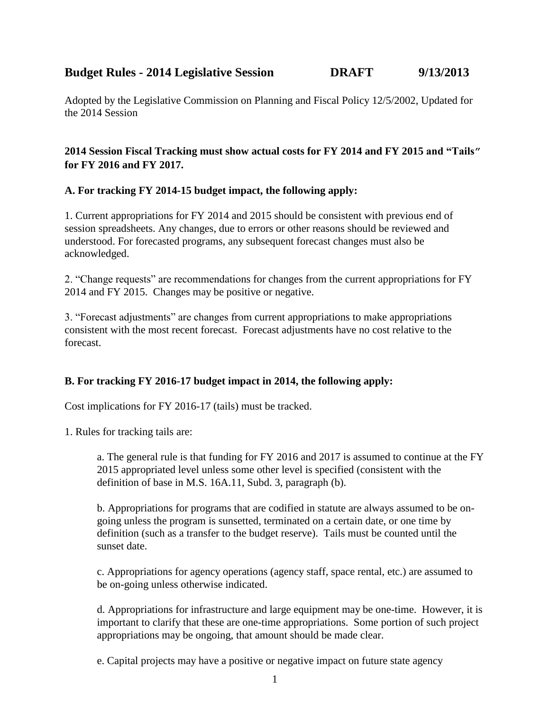# **Budget Rules - <sup>2014</sup> Legislative Session DRAFT 9/13/2013**

Adopted by the Legislative Commission on Planning and Fiscal Policy 12/5/2002, Updated for the 2014 Session

# **2014 Session Fiscal Tracking must show actual costs for FY 2014 and FY 2015 and "Tails" for FY 2016 and FY 2017.**

### **A. For tracking FY 2014-15 budget impact, the following apply:**

1. Current appropriations for FY 2014 and 2015 should be consistent with previous end of session spreadsheets. Any changes, due to errors or other reasons should be reviewed and understood. For forecasted programs, any subsequent forecast changes must also be acknowledged.

2. "Change requests" are recommendations for changes from the current appropriations for FY 2014 and FY 2015. Changes may be positive or negative.

3. "Forecast adjustments" are changes from current appropriations to make appropriations consistent with the most recent forecast. Forecast adjustments have no cost relative to the forecast.

# **B. For tracking FY 2016-17 budget impact in 2014, the following apply:**

Cost implications for FY 2016-17 (tails) must be tracked.

1. Rules for tracking tails are:

a. The general rule is that funding for FY 2016 and 2017 is assumed to continue at the FY 2015 appropriated level unless some other level is specified (consistent with the definition of base in M.S. 16A.11, Subd. 3, paragraph (b).

b. Appropriations for programs that are codified in statute are always assumed to be ongoing unless the program is sunsetted, terminated on a certain date, or one time by definition (such as a transfer to the budget reserve). Tails must be counted until the sunset date.

c. Appropriations for agency operations (agency staff, space rental, etc.) are assumed to be on-going unless otherwise indicated.

d. Appropriations for infrastructure and large equipment may be one-time. However, it is important to clarify that these are one-time appropriations. Some portion of such project appropriations may be ongoing, that amount should be made clear.

e. Capital projects may have a positive or negative impact on future state agency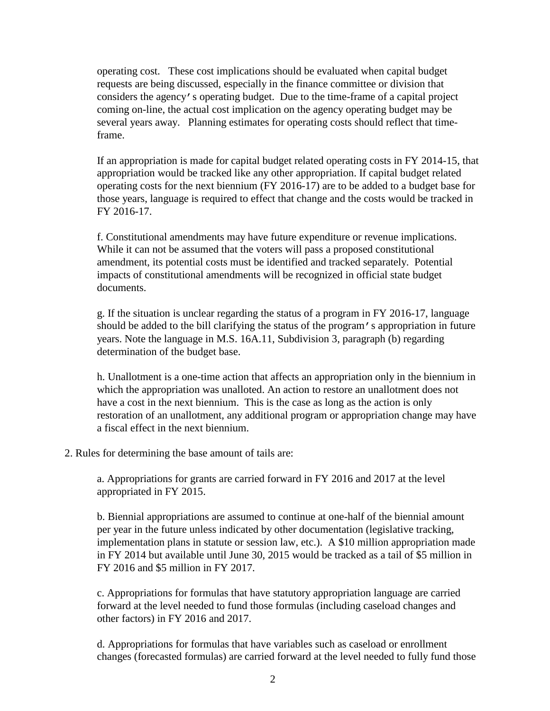operating cost. These cost implications should be evaluated when capital budget requests are being discussed, especially in the finance committee or division that considers the agency's operating budget. Due to the time-frame of a capital project coming on-line, the actual cost implication on the agency operating budget may be several years away. Planning estimates for operating costs should reflect that timeframe.

If an appropriation is made for capital budget related operating costs in FY 2014-15, that appropriation would be tracked like any other appropriation. If capital budget related operating costs for the next biennium (FY 2016-17) are to be added to a budget base for those years, language is required to effect that change and the costs would be tracked in FY 2016-17.

f. Constitutional amendments may have future expenditure or revenue implications. While it can not be assumed that the voters will pass a proposed constitutional amendment, its potential costs must be identified and tracked separately. Potential impacts of constitutional amendments will be recognized in official state budget documents.

g. If the situation is unclear regarding the status of a program in FY 2016-17, language should be added to the bill clarifying the status of the program's appropriation in future years. Note the language in M.S. 16A.11, Subdivision 3, paragraph (b) regarding determination of the budget base.

h. Unallotment is a one-time action that affects an appropriation only in the biennium in which the appropriation was unalloted. An action to restore an unallotment does not have a cost in the next biennium. This is the case as long as the action is only restoration of an unallotment, any additional program or appropriation change may have a fiscal effect in the next biennium.

2. Rules for determining the base amount of tails are:

a. Appropriations for grants are carried forward in FY 2016 and 2017 at the level appropriated in FY 2015.

b. Biennial appropriations are assumed to continue at one-half of the biennial amount per year in the future unless indicated by other documentation (legislative tracking, implementation plans in statute or session law, etc.). A \$10 million appropriation made in FY 2014 but available until June 30, 2015 would be tracked as a tail of \$5 million in FY 2016 and \$5 million in FY 2017.

c. Appropriations for formulas that have statutory appropriation language are carried forward at the level needed to fund those formulas (including caseload changes and other factors) in FY 2016 and 2017.

d. Appropriations for formulas that have variables such as caseload or enrollment changes (forecasted formulas) are carried forward at the level needed to fully fund those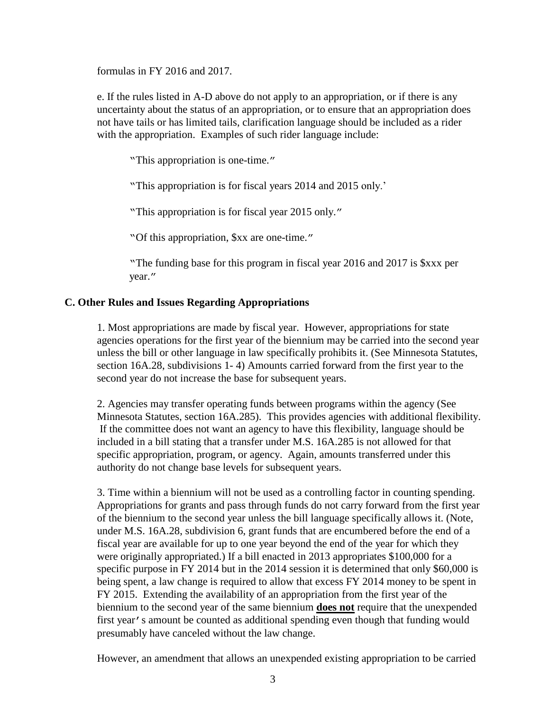formulas in FY 2016 and 2017.

e. If the rules listed in A-D above do not apply to an appropriation, or if there is any uncertainty about the status of an appropriation, or to ensure that an appropriation does not have tails or has limited tails, clarification language should be included as a rider with the appropriation. Examples of such rider language include:

"This appropriation is one-time."

"This appropriation is for fiscal years 2014 and 2015 only.'

"This appropriation is for fiscal year 2015 only."

"Of this appropriation, \$xx are one-time."

"The funding base for this program in fiscal year 2016 and 2017 is \$xxx per year."

### **C. Other Rules and Issues Regarding Appropriations**

1. Most appropriations are made by fiscal year. However, appropriations for state agencies operations for the first year of the biennium may be carried into the second year unless the bill or other language in law specifically prohibits it. (See Minnesota Statutes, section 16A.28, subdivisions 1- 4) Amounts carried forward from the first year to the second year do not increase the base for subsequent years.

2. Agencies may transfer operating funds between programs within the agency (See Minnesota Statutes, section 16A.285). This provides agencies with additional flexibility. If the committee does not want an agency to have this flexibility, language should be included in a bill stating that a transfer under M.S. 16A.285 is not allowed for that specific appropriation, program, or agency. Again, amounts transferred under this authority do not change base levels for subsequent years.

3. Time within a biennium will not be used as a controlling factor in counting spending. Appropriations for grants and pass through funds do not carry forward from the first year of the biennium to the second year unless the bill language specifically allows it. (Note, under M.S. 16A.28, subdivision 6, grant funds that are encumbered before the end of a fiscal year are available for up to one year beyond the end of the year for which they were originally appropriated.) If a bill enacted in 2013 appropriates \$100,000 for a specific purpose in FY 2014 but in the 2014 session it is determined that only \$60,000 is being spent, a law change is required to allow that excess FY 2014 money to be spent in FY 2015. Extending the availability of an appropriation from the first year of the biennium to the second year of the same biennium **does not** require that the unexpended first year's amount be counted as additional spending even though that funding would presumably have canceled without the law change.

However, an amendment that allows an unexpended existing appropriation to be carried